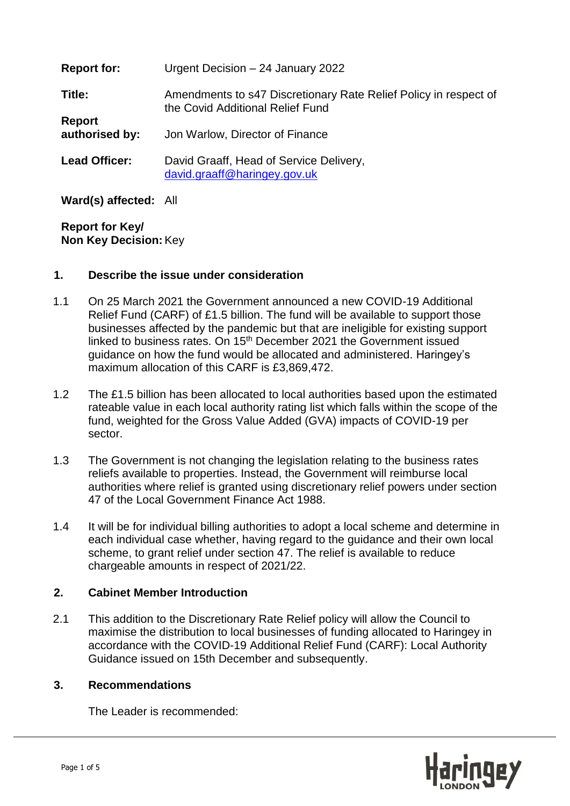| <b>Report for:</b>              | Urgent Decision - 24 January 2022                                                                    |
|---------------------------------|------------------------------------------------------------------------------------------------------|
| Title:                          | Amendments to s47 Discretionary Rate Relief Policy in respect of<br>the Covid Additional Relief Fund |
| <b>Report</b><br>authorised by: | Jon Warlow, Director of Finance                                                                      |
| <b>Lead Officer:</b>            | David Graaff, Head of Service Delivery,<br>david.graaff@haringey.gov.uk                              |

**Ward(s) affected:** All

**Report for Key/ Non Key Decision:**Key

## **1. Describe the issue under consideration**

- 1.1 On 25 March 2021 the Government announced a new COVID-19 Additional Relief Fund (CARF) of £1.5 billion. The fund will be available to support those businesses affected by the pandemic but that are ineligible for existing support linked to business rates. On 15<sup>th</sup> December 2021 the Government issued guidance on how the fund would be allocated and administered. Haringey's maximum allocation of this CARF is £3,869,472.
- 1.2 The £1.5 billion has been allocated to local authorities based upon the estimated rateable value in each local authority rating list which falls within the scope of the fund, weighted for the Gross Value Added (GVA) impacts of COVID-19 per sector.
- 1.3 The Government is not changing the legislation relating to the business rates reliefs available to properties. Instead, the Government will reimburse local authorities where relief is granted using discretionary relief powers under section 47 of the Local Government Finance Act 1988.
- 1.4 It will be for individual billing authorities to adopt a local scheme and determine in each individual case whether, having regard to the guidance and their own local scheme, to grant relief under section 47. The relief is available to reduce chargeable amounts in respect of 2021/22.

## **2. Cabinet Member Introduction**

2.1 This addition to the Discretionary Rate Relief policy will allow the Council to maximise the distribution to local businesses of funding allocated to Haringey in accordance with the COVID-19 Additional Relief Fund (CARF): Local Authority Guidance issued on 15th December and subsequently.

#### **3. Recommendations**

The Leader is recommended:

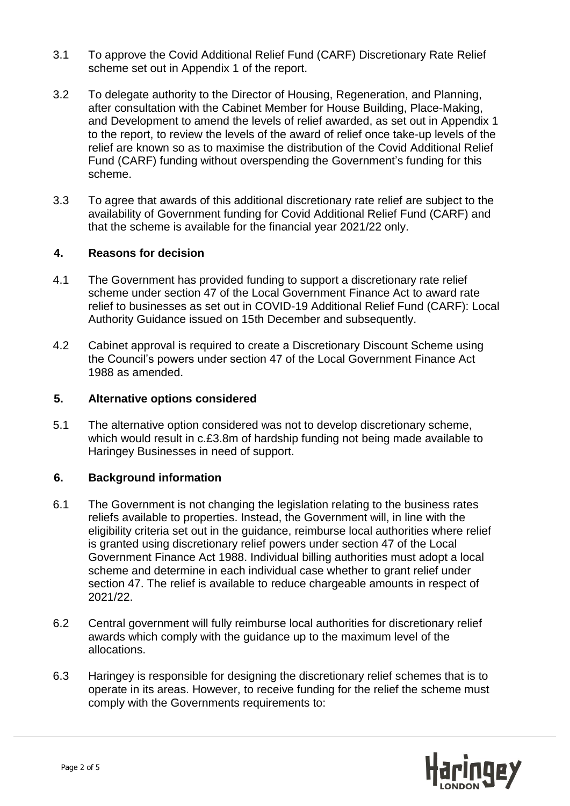- 3.1 To approve the Covid Additional Relief Fund (CARF) Discretionary Rate Relief scheme set out in Appendix 1 of the report.
- 3.2 To delegate authority to the Director of Housing, Regeneration, and Planning, after consultation with the Cabinet Member for House Building, Place-Making, and Development to amend the levels of relief awarded, as set out in Appendix 1 to the report, to review the levels of the award of relief once take-up levels of the relief are known so as to maximise the distribution of the Covid Additional Relief Fund (CARF) funding without overspending the Government's funding for this scheme.
- 3.3 To agree that awards of this additional discretionary rate relief are subject to the availability of Government funding for Covid Additional Relief Fund (CARF) and that the scheme is available for the financial year 2021/22 only.

## **4. Reasons for decision**

- 4.1 The Government has provided funding to support a discretionary rate relief scheme under section 47 of the Local Government Finance Act to award rate relief to businesses as set out in COVID-19 Additional Relief Fund (CARF): Local Authority Guidance issued on 15th December and subsequently.
- 4.2 Cabinet approval is required to create a Discretionary Discount Scheme using the Council's powers under section 47 of the Local Government Finance Act 1988 as amended.

## **5. Alternative options considered**

5.1 The alternative option considered was not to develop discretionary scheme, which would result in c.£3.8m of hardship funding not being made available to Haringey Businesses in need of support.

## **6. Background information**

- 6.1 The Government is not changing the legislation relating to the business rates reliefs available to properties. Instead, the Government will, in line with the eligibility criteria set out in the guidance, reimburse local authorities where relief is granted using discretionary relief powers under section 47 of the Local Government Finance Act 1988. Individual billing authorities must adopt a local scheme and determine in each individual case whether to grant relief under section 47. The relief is available to reduce chargeable amounts in respect of 2021/22.
- 6.2 Central government will fully reimburse local authorities for discretionary relief awards which comply with the guidance up to the maximum level of the allocations.
- 6.3 Haringey is responsible for designing the discretionary relief schemes that is to operate in its areas. However, to receive funding for the relief the scheme must comply with the Governments requirements to:

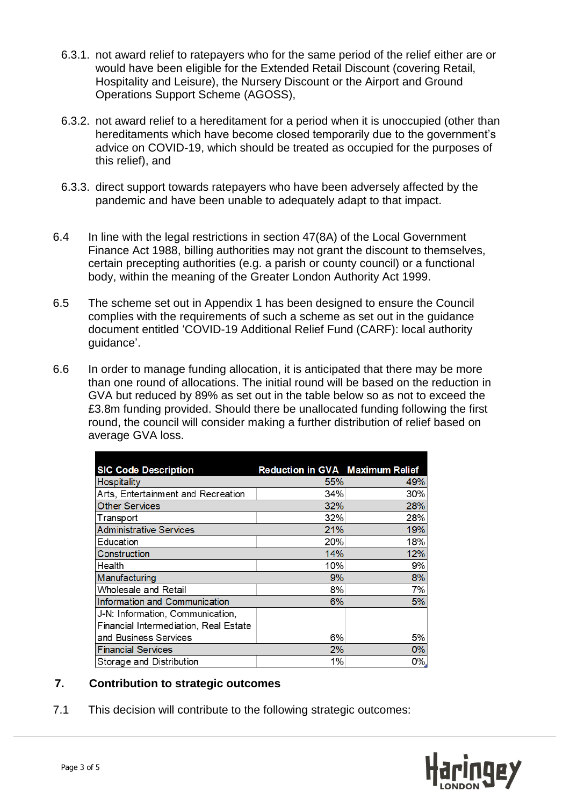- 6.3.1. not award relief to ratepayers who for the same period of the relief either are or would have been eligible for the Extended Retail Discount (covering Retail, Hospitality and Leisure), the Nursery Discount or the Airport and Ground Operations Support Scheme (AGOSS),
- 6.3.2. not award relief to a hereditament for a period when it is unoccupied (other than hereditaments which have become closed temporarily due to the government's advice on COVID-19, which should be treated as occupied for the purposes of this relief), and
- 6.3.3. direct support towards ratepayers who have been adversely affected by the pandemic and have been unable to adequately adapt to that impact.
- 6.4 In line with the legal restrictions in section 47(8A) of the Local Government Finance Act 1988, billing authorities may not grant the discount to themselves, certain precepting authorities (e.g. a parish or county council) or a functional body, within the meaning of the Greater London Authority Act 1999.
- 6.5 The scheme set out in Appendix 1 has been designed to ensure the Council complies with the requirements of such a scheme as set out in the guidance document entitled 'COVID-19 Additional Relief Fund (CARF): local authority guidance'.
- 6.6 In order to manage funding allocation, it is anticipated that there may be more than one round of allocations. The initial round will be based on the reduction in GVA but reduced by 89% as set out in the table below so as not to exceed the £3.8m funding provided. Should there be unallocated funding following the first round, the council will consider making a further distribution of relief based on average GVA loss.

| <b>SIC Code Description</b>           | <b>Reduction in GVA Maximum Relief</b> |     |
|---------------------------------------|----------------------------------------|-----|
| Hospitality                           | 55%                                    | 49% |
| Arts, Entertainment and Recreation    | 34%                                    | 30% |
| <b>Other Services</b>                 | 32%                                    | 28% |
| Transport                             | 32%                                    | 28% |
| <b>Administrative Services</b>        | 21%                                    | 19% |
| Education                             | 20%                                    | 18% |
| Construction                          | 14%                                    | 12% |
| Health                                | 10%                                    | 9%  |
| Manufacturing                         | 9%                                     | 8%  |
| Wholesale and Retail                  | 8%                                     | 7%  |
| Information and Communication         | 6%                                     | 5%  |
| J-N: Information, Communication,      |                                        |     |
| Financial Intermediation, Real Estate |                                        |     |
| and Business Services                 | 6%                                     | 5%  |
| <b>Financial Services</b>             | 2%                                     | 0%  |
| Storage and Distribution              | 1%                                     | 0%  |

## **7. Contribution to strategic outcomes**

7.1 This decision will contribute to the following strategic outcomes:

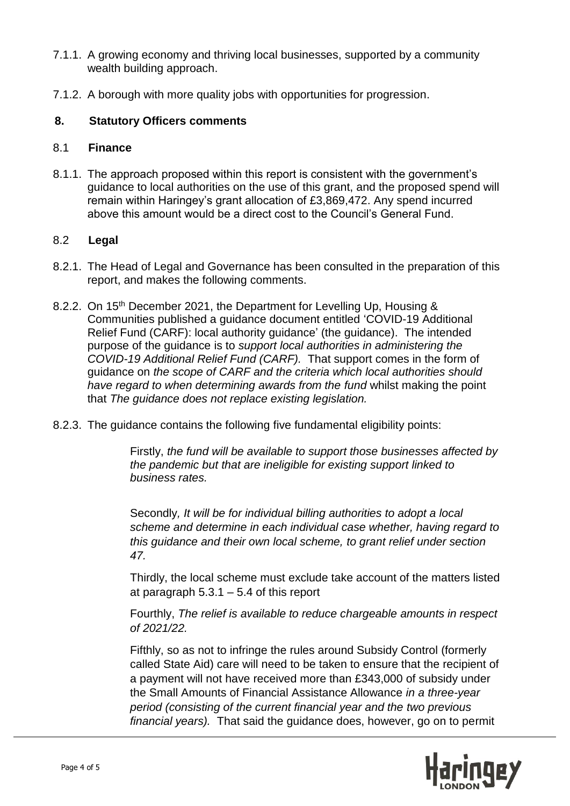- 7.1.1. A growing economy and thriving local businesses, supported by a community wealth building approach.
- 7.1.2. A borough with more quality jobs with opportunities for progression.

## **8. Statutory Officers comments**

#### 8.1 **Finance**

8.1.1. The approach proposed within this report is consistent with the government's guidance to local authorities on the use of this grant, and the proposed spend will remain within Haringey's grant allocation of £3,869,472. Any spend incurred above this amount would be a direct cost to the Council's General Fund.

## 8.2 **Legal**

- 8.2.1. The Head of Legal and Governance has been consulted in the preparation of this report, and makes the following comments.
- 8.2.2. On 15<sup>th</sup> December 2021, the Department for Levelling Up, Housing & Communities published a guidance document entitled 'COVID-19 Additional Relief Fund (CARF): local authority guidance' (the guidance). The intended purpose of the guidance is to *support local authorities in administering the COVID-19 Additional Relief Fund (CARF).* That support comes in the form of guidance on *the scope of CARF and the criteria which local authorities should have regard to when determining awards from the fund* whilst making the point that *The guidance does not replace existing legislation.*
- 8.2.3. The guidance contains the following five fundamental eligibility points:

Firstly, *the fund will be available to support those businesses affected by the pandemic but that are ineligible for existing support linked to business rates.*

Secondly*, It will be for individual billing authorities to adopt a local scheme and determine in each individual case whether, having regard to this guidance and their own local scheme, to grant relief under section 47.* 

Thirdly, the local scheme must exclude take account of the matters listed at paragraph  $5.3.1 - 5.4$  of this report

Fourthly, *The relief is available to reduce chargeable amounts in respect of 2021/22.*

Fifthly, so as not to infringe the rules around Subsidy Control (formerly called State Aid) care will need to be taken to ensure that the recipient of a payment will not have received more than £343,000 of subsidy under the Small Amounts of Financial Assistance Allowance *in a three-year period (consisting of the current financial year and the two previous financial years).* That said the guidance does, however, go on to permit